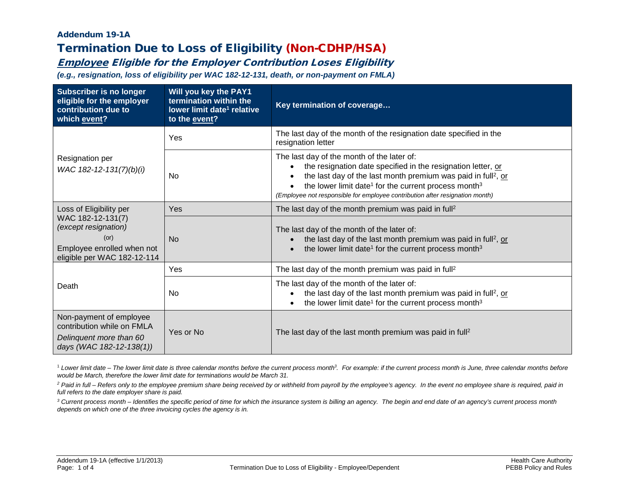### Addendum 19-1A Termination Due to Loss of Eligibility (Non-CDHP/HSA)

# Employee Eligible for the Employer Contribution Loses Eligibility

*(e.g., resignation, loss of eligibility per WAC 182-12-131, death, or non-payment on FMLA)*

| <b>Subscriber is no longer</b><br>eligible for the employer<br>contribution due to<br>which event?             | Will you key the PAY1<br>termination within the<br>lower limit date <sup>1</sup> relative<br>to the event? | Key termination of coverage                                                                                                                                                                                                                                                                                                                             |
|----------------------------------------------------------------------------------------------------------------|------------------------------------------------------------------------------------------------------------|---------------------------------------------------------------------------------------------------------------------------------------------------------------------------------------------------------------------------------------------------------------------------------------------------------------------------------------------------------|
|                                                                                                                | <b>Yes</b>                                                                                                 | The last day of the month of the resignation date specified in the<br>resignation letter                                                                                                                                                                                                                                                                |
| Resignation per<br>WAC 182-12-131(7)(b)(i)                                                                     | No.                                                                                                        | The last day of the month of the later of:<br>the resignation date specified in the resignation letter, or<br>the last day of the last month premium was paid in full <sup>2</sup> , or<br>the lower limit date <sup>1</sup> for the current process month <sup>3</sup><br>(Employee not responsible for employee contribution after resignation month) |
| Loss of Eligibility per                                                                                        | <b>Yes</b>                                                                                                 | The last day of the month premium was paid in full <sup>2</sup>                                                                                                                                                                                                                                                                                         |
| WAC 182-12-131(7)<br>(except resignation)<br>(or)<br>Employee enrolled when not<br>eligible per WAC 182-12-114 | <b>No</b>                                                                                                  | The last day of the month of the later of:<br>the last day of the last month premium was paid in full <sup>2</sup> , or<br>the lower limit date <sup>1</sup> for the current process month <sup>3</sup>                                                                                                                                                 |
|                                                                                                                | Yes                                                                                                        | The last day of the month premium was paid in full <sup>2</sup>                                                                                                                                                                                                                                                                                         |
| Death                                                                                                          | No.                                                                                                        | The last day of the month of the later of:<br>the last day of the last month premium was paid in full <sup>2</sup> , or<br>the lower limit date <sup>1</sup> for the current process month <sup>3</sup>                                                                                                                                                 |
| Non-payment of employee<br>contribution while on FMLA<br>Delinquent more than 60<br>days (WAC 182-12-138(1))   | Yes or No                                                                                                  | The last day of the last month premium was paid in full <sup>2</sup>                                                                                                                                                                                                                                                                                    |

<sup>1</sup> Lower limit date – The lower limit date is three calendar months before the current process month<sup>3</sup>. For example: if the current process month is June, three calendar months before *would be March, therefore the lower limit date for terminations would be March 31.*

<sup>2</sup> Paid in full – Refers only to the employee premium share being received by or withheld from payroll by the employee's agency. In the event no employee share is required, paid in *full refers to the date employer share is paid.*

*<sup>3</sup> Current process month – Identifies the specific period of time for which the insurance system is billing an agency. The begin and end date of an agency's current process month depends on which one of the three invoicing cycles the agency is in.*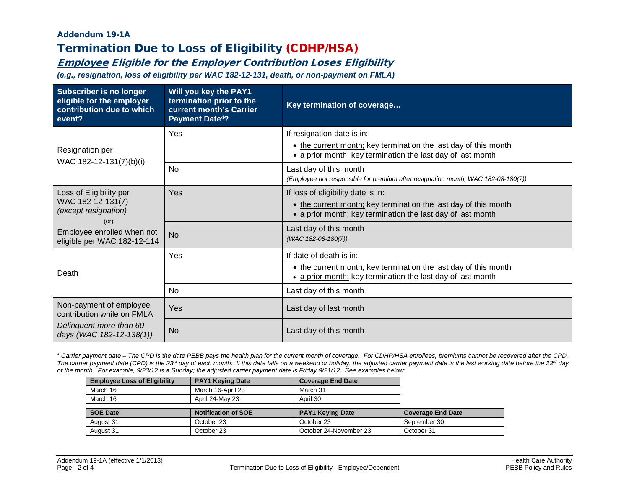#### Addendum 19-1A Termination Due to Loss of Eligibility (CDHP/HSA)

## Employee Eligible for the Employer Contribution Loses Eligibility

*(e.g., resignation, loss of eligibility per WAC 182-12-131, death, or non-payment on FMLA)*

| <b>Subscriber is no longer</b><br>eligible for the employer<br>contribution due to which<br>event? | Will you key the PAY1<br>termination prior to the<br>current month's Carrier<br><b>Payment Date<sup>4</sup>?</b> | Key termination of coverage                                                                                                    |
|----------------------------------------------------------------------------------------------------|------------------------------------------------------------------------------------------------------------------|--------------------------------------------------------------------------------------------------------------------------------|
|                                                                                                    | Yes                                                                                                              | If resignation date is in:                                                                                                     |
| Resignation per                                                                                    |                                                                                                                  | • the current month; key termination the last day of this month<br>• a prior month; key termination the last day of last month |
| WAC 182-12-131(7)(b)(i)                                                                            | No                                                                                                               | Last day of this month<br>(Employee not responsible for premium after resignation month; WAC 182-08-180(7))                    |
| Loss of Eligibility per                                                                            | Yes                                                                                                              | If loss of eligibility date is in:                                                                                             |
| WAC 182-12-131(7)<br><i>(except resignation)</i><br>(or)                                           |                                                                                                                  | • the current month; key termination the last day of this month<br>• a prior month; key termination the last day of last month |
| Employee enrolled when not<br>eligible per WAC 182-12-114                                          | <b>No</b>                                                                                                        | Last day of this month<br>(WAC 182-08-180(7))                                                                                  |
|                                                                                                    | Yes                                                                                                              | If date of death is in:                                                                                                        |
| Death                                                                                              |                                                                                                                  | • the current month; key termination the last day of this month<br>• a prior month; key termination the last day of last month |
|                                                                                                    | <b>No</b>                                                                                                        | Last day of this month                                                                                                         |
| Non-payment of employee<br>contribution while on FMLA                                              | Yes                                                                                                              | Last day of last month                                                                                                         |
| Delinquent more than 60<br>days (WAC 182-12-138(1))                                                | <b>No</b>                                                                                                        | Last day of this month                                                                                                         |

*<sup>4</sup> Carrier payment date – The CPD is the date PEBB pays the health plan for the current month of coverage. For CDHP/HSA enrollees, premiums cannot be recovered after the CPD.*  The carrier payment date (CPD) is the 23<sup>rd</sup> day of each month. If this date falls on a weekend or holiday, the adjusted carrier payment date is the last working date before the 23<sup>rd</sup> day *of the month. For example, 9/23/12 is a Sunday; the adjusted carrier payment date is Friday 9/21/12. See examples below:*

| <b>Employee Loss of Eligibility</b> | <b>PAY1 Keying Date</b>    | <b>Coverage End Date</b> |                          |
|-------------------------------------|----------------------------|--------------------------|--------------------------|
| March 16                            | March 16-April 23          | March 31                 |                          |
| March 16                            | April 24-May 23            | April 30                 |                          |
|                                     |                            |                          |                          |
| <b>SOE Date</b>                     |                            |                          |                          |
|                                     | <b>Notification of SOE</b> | <b>PAY1 Keying Date</b>  | <b>Coverage End Date</b> |
| August 31                           | October 23                 | October 23               | September 30             |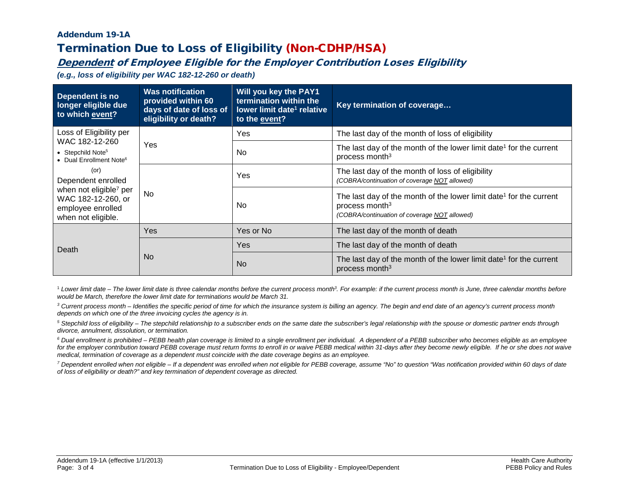#### Addendum 19-1A Termination Due to Loss of Eligibility (Non-CDHP/HSA)

## Dependent of Employee Eligible for the Employer Contribution Loses Eligibility

*(e.g., loss of eligibility per WAC 182-12-260 or death)*

| Dependent is no<br>longer eligible due<br>to which event?                                                                               | <b>Was notification</b><br>provided within 60<br>days of date of loss of<br>eligibility or death? | Will you key the PAY1<br>termination within the<br>lower limit date <sup>1</sup> relative<br>to the event? | Key termination of coverage                                                                                                                                  |
|-----------------------------------------------------------------------------------------------------------------------------------------|---------------------------------------------------------------------------------------------------|------------------------------------------------------------------------------------------------------------|--------------------------------------------------------------------------------------------------------------------------------------------------------------|
| Loss of Eligibility per                                                                                                                 |                                                                                                   | Yes                                                                                                        | The last day of the month of loss of eligibility                                                                                                             |
| WAC 182-12-260<br>• Stepchild Note <sup>5</sup><br>• Dual Enrollment Note <sup>6</sup>                                                  | Yes                                                                                               | No                                                                                                         | The last day of the month of the lower limit date <sup>1</sup> for the current<br>process month <sup>3</sup>                                                 |
| $($ or $)$<br>Dependent enrolled<br>when not eligible <sup>7</sup> per<br>WAC 182-12-260, or<br>employee enrolled<br>when not eligible. | <b>No</b>                                                                                         | Yes                                                                                                        | The last day of the month of loss of eligibility<br>(COBRA/continuation of coverage NOT allowed)                                                             |
|                                                                                                                                         |                                                                                                   | No.                                                                                                        | The last day of the month of the lower limit date <sup>1</sup> for the current<br>process month <sup>3</sup><br>(COBRA/continuation of coverage NOT allowed) |
|                                                                                                                                         | Yes                                                                                               | Yes or No                                                                                                  | The last day of the month of death                                                                                                                           |
| Death                                                                                                                                   | No.                                                                                               | <b>Yes</b>                                                                                                 | The last day of the month of death                                                                                                                           |
|                                                                                                                                         |                                                                                                   | <b>No</b>                                                                                                  | The last day of the month of the lower limit date <sup>1</sup> for the current<br>process month <sup>3</sup>                                                 |

<sup>1</sup> Lower limit date – The lower limit date is three calendar months before the current process month? For example: if the current process month is June, three calendar months before *would be March, therefore the lower limit date for terminations would be March 31.*

*<sup>3</sup> Current process month – Identifies the specific period of time for which the insurance system is billing an agency. The begin and end date of an agency's current process month depends on which one of the three invoicing cycles the agency is in.*

*<sup>5</sup> Stepchild loss of eligibility – The stepchild relationship to a subscriber ends on the same date the subscriber's legal relationship with the spouse or domestic partner ends through divorce, annulment, dissolution, or termination.*

*<sup>6</sup> Dual enrollment is prohibited – PEBB health plan coverage is limited to a single enrollment per individual. A dependent of a PEBB subscriber who becomes eligible as an employee*  for the employer contribution toward PEBB coverage must return forms to enroll in or waive PEBB medical within 31-days after they become newly eligible. If he or she does not waive *medical, termination of coverage as a dependent must coincide with the date coverage begins as an employee.*

*<sup>7</sup> Dependent enrolled when not eligible – If a dependent was enrolled when not eligible for PEBB coverage, assume "No" to question "Was notification provided within 60 days of date of loss of eligibility or death?" and key termination of dependent coverage as directed.*